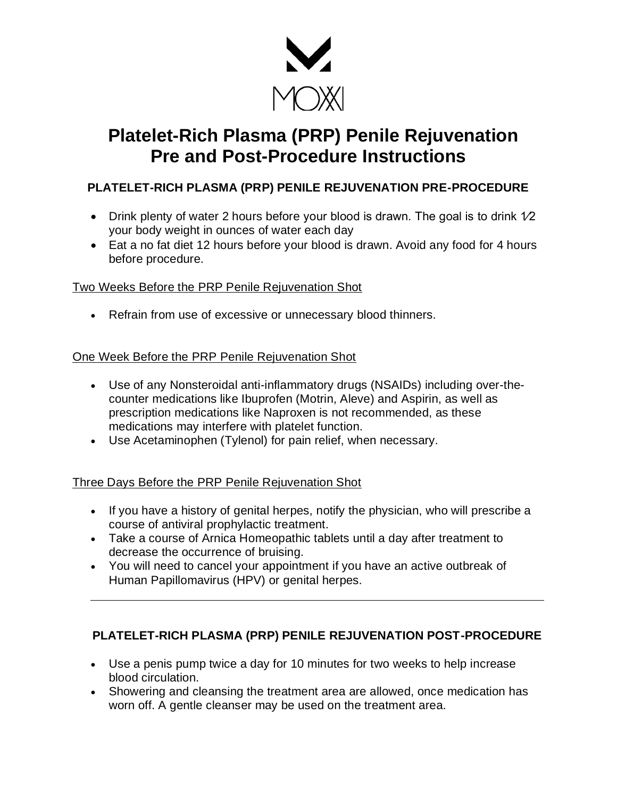

# **Platelet-Rich Plasma (PRP) Penile Rejuvenation Pre and Post-Procedure Instructions**

## **PLATELET-RICH PLASMA (PRP) PENILE REJUVENATION PRE-PROCEDURE**

- Drink plenty of water 2 hours before your blood is drawn. The goal is to drink  $1/2$ your body weight in ounces of water each day
- Eat a no fat diet 12 hours before your blood is drawn. Avoid any food for 4 hours before procedure.

#### Two Weeks Before the PRP Penile Rejuvenation Shot

• Refrain from use of excessive or unnecessary blood thinners.

#### One Week Before the PRP Penile Rejuvenation Shot

- Use of any Nonsteroidal anti-inflammatory drugs (NSAIDs) including over-thecounter medications like Ibuprofen (Motrin, Aleve) and Aspirin, as well as prescription medications like Naproxen is not recommended, as these medications may interfere with platelet function.
- Use Acetaminophen (Tylenol) for pain relief, when necessary.

### Three Days Before the PRP Penile Rejuvenation Shot

- If you have a history of genital herpes, notify the physician, who will prescribe a course of antiviral prophylactic treatment.
- Take a course of Arnica Homeopathic tablets until a day after treatment to decrease the occurrence of bruising.
- You will need to cancel your appointment if you have an active outbreak of Human Papillomavirus (HPV) or genital herpes.

## **PLATELET-RICH PLASMA (PRP) PENILE REJUVENATION POST-PROCEDURE**

- Use a penis pump twice a day for 10 minutes for two weeks to help increase blood circulation.
- Showering and cleansing the treatment area are allowed, once medication has worn off. A gentle cleanser may be used on the treatment area.